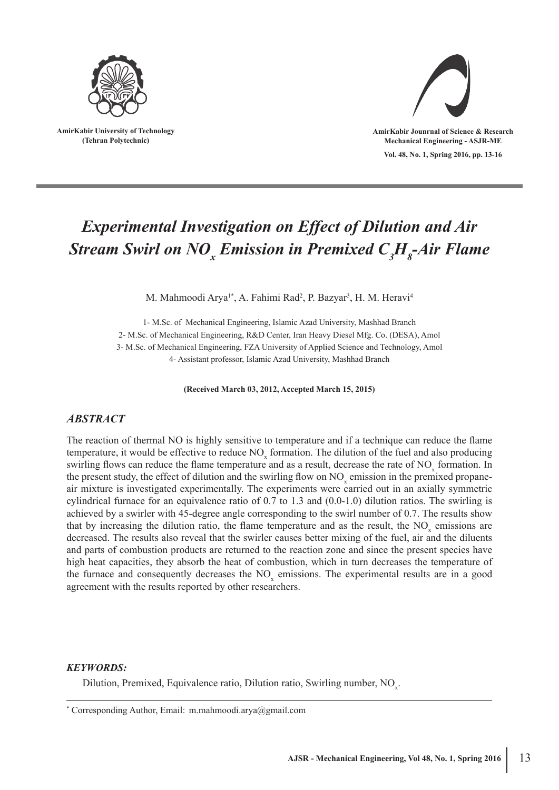

**AmirKabir University of Technology (Tehran Polytechnic)**



**Vol. 48, No. 1, Spring 2016, pp. 13-16 AmirKabir Jounrnal of Science & Research Mechanical Engineering - ASJR-ME**

# *Experimental Investigation on Effect of Dilution and Air Stream Swirl on NO x Emission in Premixed C3 H8 -Air Flame*

M. Mahmoodi Arya<sup>1\*</sup>, A. Fahimi Rad<sup>2</sup>, P. Bazyar<sup>3</sup>, H. M. Heravi<sup>4</sup>

1- M.Sc. of Mechanical Engineering, Islamic Azad University, Mashhad Branch 2- M.Sc. of Mechanical Engineering, R&D Center, Iran Heavy Diesel Mfg. Co. (DESA), Amol 3- M.Sc. of Mechanical Engineering, FZA University of Applied Science and Technology, Amol 4- Assistant professor, Islamic Azad University, Mashhad Branch

**(Received March 03, 2012, Accepted March 15, 2015)**

### *ABSTRACT*

The reaction of thermal NO is highly sensitive to temperature and if a technique can reduce the flame temperature, it would be effective to reduce  $NO<sub>x</sub>$  formation. The dilution of the fuel and also producing swirling flows can reduce the flame temperature and as a result, decrease the rate of  $NO<sub>x</sub>$  formation. In the present study, the effect of dilution and the swirling flow on  $NO<sub>x</sub>$  emission in the premixed propaneair mixture is investigated experimentally. The experiments were carried out in an axially symmetric cylindrical furnace for an equivalence ratio of 0.7 to 1.3 and (0.0-1.0) dilution ratios. The swirling is achieved by a swirler with 45-degree angle corresponding to the swirl number of 0.7. The results show that by increasing the dilution ratio, the flame temperature and as the result, the  $NO<sub>x</sub>$  emissions are decreased. The results also reveal that the swirler causes better mixing of the fuel, air and the diluents and parts of combustion products are returned to the reaction zone and since the present species have high heat capacities, they absorb the heat of combustion, which in turn decreases the temperature of the furnace and consequently decreases the  $NO<sub>x</sub>$  emissions. The experimental results are in a good agreement with the results reported by other researchers.

#### *KEYWORDS:*

Dilution, Premixed, Equivalence ratio, Dilution ratio, Swirling number,  $NO<sub>x</sub>$ .

\* Corresponding Author, Email: m.mahmoodi.arya@gmail.com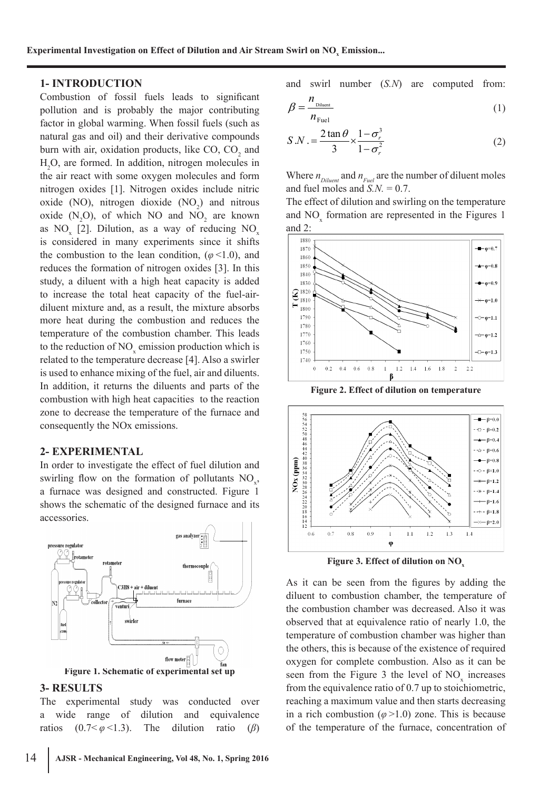#### **1- INTRODUCTION**

Combustion of fossil fuels leads to significant pollution and is probably the major contributing factor in global warming. When fossil fuels (such as natural gas and oil) and their derivative compounds burn with air, oxidation products, like  $CO$ ,  $CO<sub>2</sub>$  and H2 O, are formed. In addition, nitrogen molecules in the air react with some oxygen molecules and form nitrogen oxides [1]. Nitrogen oxides include nitric oxide (NO), nitrogen dioxide  $(NO<sub>2</sub>)$  and nitrous oxide  $(N_2O)$ , of which NO and NO<sub>2</sub> are known as  $NO_x$  [2]. Dilution, as a way of reducing  $NO_x$ is considered in many experiments since it shifts the combustion to the lean condition,  $(\varphi \le 1.0)$ , and reduces the formation of nitrogen oxides [3]. In this study, a diluent with a high heat capacity is added to increase the total heat capacity of the fuel-airdiluent mixture and, as a result, the mixture absorbs more heat during the combustion and reduces the temperature of the combustion chamber. This leads to the reduction of  $NO<sub>x</sub>$  emission production which is related to the temperature decrease [4]. Also a swirler is used to enhance mixing of the fuel, air and diluents. In addition, it returns the diluents and parts of the combustion with high heat capacities to the reaction zone to decrease the temperature of the furnace and consequently the NOx emissions.

#### **2- EXPERIMENTAL**

In order to investigate the effect of fuel dilution and swirling flow on the formation of pollutants  $NO<sub>x</sub>$ , a furnace was designed and constructed. Figure 1 shows the schematic of the designed furnace and its accessories.



#### **3- RESULTS**

The experimental study was conducted over a wide range of dilution and equivalence ratios  $(0.7 < \varphi < 1.3)$ . The dilution ratio (*β*)

$$
\beta = \frac{n_{\text{Diluent}}}{n_{\text{Fu}}}
$$
 (1)

$$
S.N. = \frac{2 \tan \theta}{3} \times \frac{1 - \sigma_r^3}{1 - \sigma_r^2}
$$
 (2)

Where  $n_{Diluent}$  and  $n_{Fuel}$  are the number of diluent moles and fuel moles and  $S.N. = 0.7$ .

The effect of dilution and swirling on the temperature and  $NO<sub>x</sub>$  formation are represented in the Figures 1 and 2:



**Figure 2. Effect of dilution on temperature**



Figure 3. Effect of dilution on NO<sub>x</sub>

As it can be seen from the figures by adding the diluent to combustion chamber, the temperature of the combustion chamber was decreased. Also it was observed that at equivalence ratio of nearly 1.0, the temperature of combustion chamber was higher than the others, this is because of the existence of required oxygen for complete combustion. Also as it can be seen from the Figure 3 the level of  $NO_x$  increases from the equivalence ratio of 0.7 up to stoichiometric, reaching a maximum value and then starts decreasing in a rich combustion (*φ*>1.0) zone. This is because of the temperature of the furnace, concentration of